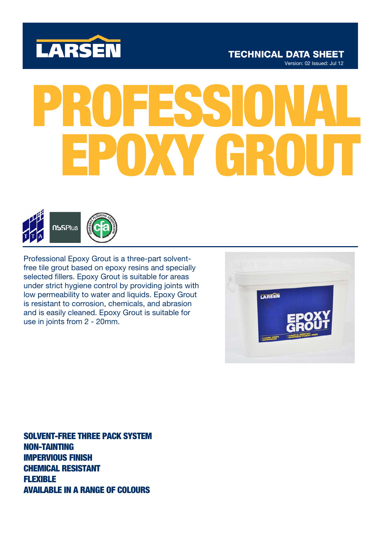

# **TECHNICAL DATA SHEET** Version: 02 Issued: Jul 12

# PROFESSIONAL EPOXY GROUT



Professional Epoxy Grout is a three-part solventfree tile grout based on epoxy resins and specially selected fillers. Epoxy Grout is suitable for areas under strict hygiene control by providing joints with low permeability to water and liquids. Epoxy Grout is resistant to corrosion, chemicals, and abrasion and is easily cleaned. Epoxy Grout is suitable for use in joints from 2 - 20mm.

LARSEN

SOLVENT-FREE THREE PACK SYSTEM NON-TAINTING IMPERVIOUS FINISH CHEMICAL RESISTANT FLEXIBLE AVAILABLE IN A RANGE OF COLOURS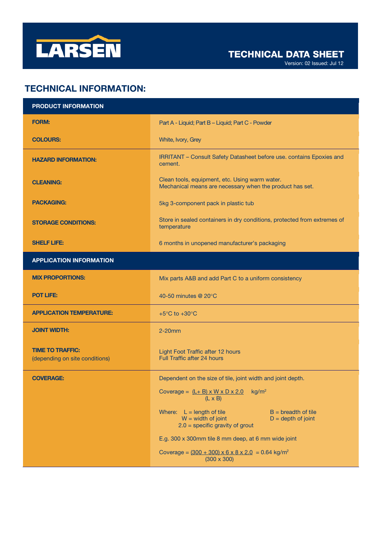

Version: 02 Issued: Jul 12

# TECHNICAL INFORMATION:

| <b>PRODUCT INFORMATION</b>                                |                                                                                                                                           |
|-----------------------------------------------------------|-------------------------------------------------------------------------------------------------------------------------------------------|
| <b>FORM:</b>                                              | Part A - Liquid; Part B - Liquid; Part C - Powder                                                                                         |
| <b>COLOURS:</b>                                           | White, Ivory, Grey                                                                                                                        |
| <b>HAZARD INFORMATION:</b>                                | IRRITANT - Consult Safety Datasheet before use. contains Epoxies and<br>cement.                                                           |
| <b>CLEANING:</b>                                          | Clean tools, equipment, etc. Using warm water.<br>Mechanical means are necessary when the product has set.                                |
| <b>PACKAGING:</b>                                         | 5kg 3-component pack in plastic tub                                                                                                       |
| <b>STORAGE CONDITIONS:</b>                                | Store in sealed containers in dry conditions, protected from extremes of<br>temperature                                                   |
| <b>SHELF LIFE:</b>                                        | 6 months in unopened manufacturer's packaging                                                                                             |
| <b>APPLICATION INFORMATION</b>                            |                                                                                                                                           |
| <b>MIX PROPORTIONS:</b>                                   | Mix parts A&B and add Part C to a uniform consistency                                                                                     |
| <b>POT LIFE:</b>                                          | 40-50 minutes @ 20°C                                                                                                                      |
| <b>APPLICATION TEMPERATURE:</b>                           | +5 $\mathrm{^{\circ}C}$ to +30 $\mathrm{^{\circ}C}$                                                                                       |
| <b>JOINT WIDTH:</b>                                       | $2-20$ mm                                                                                                                                 |
| <b>TIME TO TRAFFIC:</b><br>(depending on site conditions) | Light Foot Traffic after 12 hours<br>Full Traffic after 24 hours                                                                          |
| <b>COVERAGE:</b>                                          | Dependent on the size of tile, joint width and joint depth.                                                                               |
|                                                           | kg/m <sup>2</sup><br>Coverage = $(L + B) \times W \times D \times 2.0$<br>$(L \times B)$                                                  |
|                                                           | Where: $L = length of tile$<br>$B =$ breadth of tile<br>$W = width of joint$<br>$D =$ depth of joint<br>$2.0$ = specific gravity of grout |
|                                                           | E.g. 300 x 300mm tile 8 mm deep, at 6 mm wide joint                                                                                       |
|                                                           | Coverage = $(300 + 300) \times 6 \times 8 \times 2.0 = 0.64$ kg/m <sup>2</sup><br>$(300 \times 300)$                                      |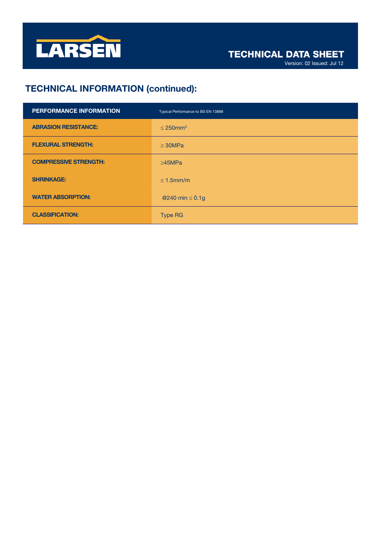

# TECHNICAL INFORMATION (continued):

| PERFORMANCE INFORMATION      | Typical Performance to BS EN 13888 |
|------------------------------|------------------------------------|
| <b>ABRASION RESISTANCE:</b>  | $\leq$ 250mm <sup>3</sup>          |
| <b>FLEXURAL STRENGTH:</b>    | $\geq$ 30MPa                       |
| <b>COMPRESSIVE STRENGTH:</b> | $\geq$ 45MPa                       |
| <b>SHRINKAGE:</b>            | $\leq$ 1.5mm/m                     |
| <b>WATER ABSORPTION:</b>     | @240 min $\leq$ 0.1g               |
| <b>CLASSIFICATION:</b>       | <b>Type RG</b>                     |